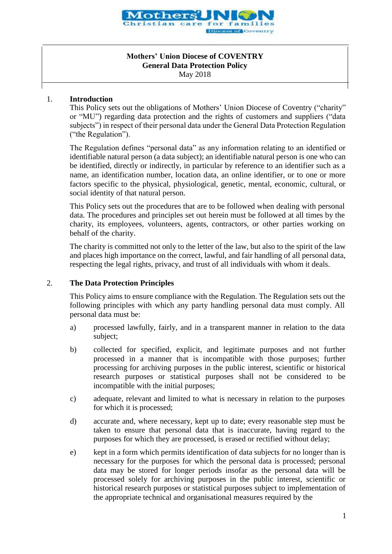

### **Mothers' Union Diocese of COVENTRY General Data Protection Policy** May 2018

### 1. **Introduction**

This Policy sets out the obligations of Mothers' Union Diocese of Coventry ("charity" or "MU") regarding data protection and the rights of customers and suppliers ("data subjects") in respect of their personal data under the General Data Protection Regulation ("the Regulation").

The Regulation defines "personal data" as any information relating to an identified or identifiable natural person (a data subject); an identifiable natural person is one who can be identified, directly or indirectly, in particular by reference to an identifier such as a name, an identification number, location data, an online identifier, or to one or more factors specific to the physical, physiological, genetic, mental, economic, cultural, or social identity of that natural person.

This Policy sets out the procedures that are to be followed when dealing with personal data. The procedures and principles set out herein must be followed at all times by the charity, its employees, volunteers, agents, contractors, or other parties working on behalf of the charity.

The charity is committed not only to the letter of the law, but also to the spirit of the law and places high importance on the correct, lawful, and fair handling of all personal data, respecting the legal rights, privacy, and trust of all individuals with whom it deals.

# 2. **The Data Protection Principles**

This Policy aims to ensure compliance with the Regulation. The Regulation sets out the following principles with which any party handling personal data must comply. All personal data must be:

- a) processed lawfully, fairly, and in a transparent manner in relation to the data subject;
- b) collected for specified, explicit, and legitimate purposes and not further processed in a manner that is incompatible with those purposes; further processing for archiving purposes in the public interest, scientific or historical research purposes or statistical purposes shall not be considered to be incompatible with the initial purposes;
- c) adequate, relevant and limited to what is necessary in relation to the purposes for which it is processed;
- d) accurate and, where necessary, kept up to date; every reasonable step must be taken to ensure that personal data that is inaccurate, having regard to the purposes for which they are processed, is erased or rectified without delay;
- e) kept in a form which permits identification of data subjects for no longer than is necessary for the purposes for which the personal data is processed; personal data may be stored for longer periods insofar as the personal data will be processed solely for archiving purposes in the public interest, scientific or historical research purposes or statistical purposes subject to implementation of the appropriate technical and organisational measures required by the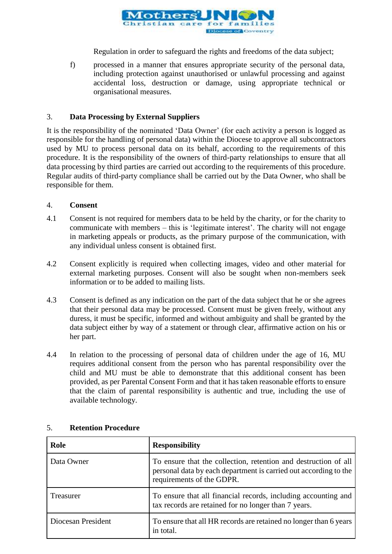

Regulation in order to safeguard the rights and freedoms of the data subject;

f) processed in a manner that ensures appropriate security of the personal data, including protection against unauthorised or unlawful processing and against accidental loss, destruction or damage, using appropriate technical or organisational measures.

### 3. **Data Processing by External Suppliers**

It is the responsibility of the nominated 'Data Owner' (for each activity a person is logged as responsible for the handling of personal data) within the Diocese to approve all subcontractors used by MU to process personal data on its behalf, according to the requirements of this procedure. It is the responsibility of the owners of third-party relationships to ensure that all data processing by third parties are carried out according to the requirements of this procedure. Regular audits of third-party compliance shall be carried out by the Data Owner, who shall be responsible for them.

#### 4. **Consent**

- 4.1 Consent is not required for members data to be held by the charity, or for the charity to communicate with members – this is 'legitimate interest'. The charity will not engage in marketing appeals or products, as the primary purpose of the communication, with any individual unless consent is obtained first.
- 4.2 Consent explicitly is required when collecting images, video and other material for external marketing purposes. Consent will also be sought when non-members seek information or to be added to mailing lists.
- 4.3 Consent is defined as any indication on the part of the data subject that he or she agrees that their personal data may be processed. Consent must be given freely, without any duress, it must be specific, informed and without ambiguity and shall be granted by the data subject either by way of a statement or through clear, affirmative action on his or her part.
- 4.4 In relation to the processing of personal data of children under the age of 16, MU requires additional consent from the person who has parental responsibility over the child and MU must be able to demonstrate that this additional consent has been provided, as per Parental Consent Form and that it has taken reasonable efforts to ensure that the claim of parental responsibility is authentic and true, including the use of available technology.

| Role               | <b>Responsibility</b>                                                                                                                                            |
|--------------------|------------------------------------------------------------------------------------------------------------------------------------------------------------------|
| Data Owner         | To ensure that the collection, retention and destruction of all<br>personal data by each department is carried out according to the<br>requirements of the GDPR. |
| Treasurer          | To ensure that all financial records, including accounting and<br>tax records are retained for no longer than 7 years.                                           |
| Diocesan President | To ensure that all HR records are retained no longer than 6 years<br>in total.                                                                                   |

#### 5. **Retention Procedure**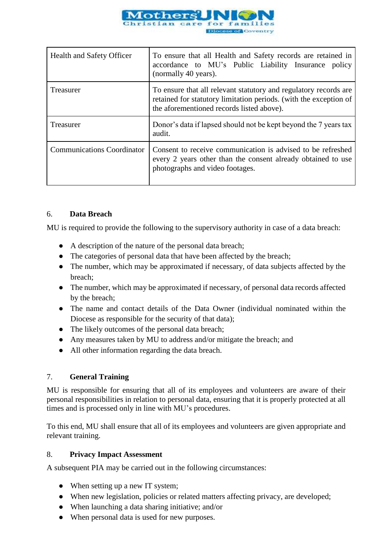

| <b>Health and Safety Officer</b>  | To ensure that all Health and Safety records are retained in<br>accordance to MU's Public Liability Insurance policy<br>(normally 40 years).                                       |
|-----------------------------------|------------------------------------------------------------------------------------------------------------------------------------------------------------------------------------|
| Treasurer                         | To ensure that all relevant statutory and regulatory records are<br>retained for statutory limitation periods. (with the exception of<br>the aforementioned records listed above). |
| Treasurer                         | Donor's data if lapsed should not be kept beyond the 7 years tax<br>audit.                                                                                                         |
| <b>Communications Coordinator</b> | Consent to receive communication is advised to be refreshed<br>every 2 years other than the consent already obtained to use<br>photographs and video footages.                     |

# 6. **Data Breach**

MU is required to provide the following to the supervisory authority in case of a data breach:

- A description of the nature of the personal data breach;
- The categories of personal data that have been affected by the breach;
- The number, which may be approximated if necessary, of data subjects affected by the breach;
- The number, which may be approximated if necessary, of personal data records affected by the breach;
- The name and contact details of the Data Owner (individual nominated within the Diocese as responsible for the security of that data);
- The likely outcomes of the personal data breach;
- Any measures taken by MU to address and/or mitigate the breach; and
- All other information regarding the data breach.

# 7. **General Training**

MU is responsible for ensuring that all of its employees and volunteers are aware of their personal responsibilities in relation to personal data, ensuring that it is properly protected at all times and is processed only in line with MU's procedures.

To this end, MU shall ensure that all of its employees and volunteers are given appropriate and relevant training.

#### 8. **Privacy Impact Assessment**

A subsequent PIA may be carried out in the following circumstances:

- When setting up a new IT system;
- When new legislation, policies or related matters affecting privacy, are developed;
- When launching a data sharing initiative; and/or
- When personal data is used for new purposes.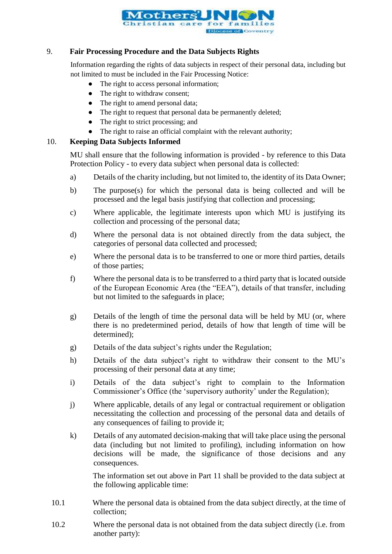

### 9. **Fair Processing Procedure and the Data Subjects Rights**

Information regarding the rights of data subjects in respect of their personal data, including but not limited to must be included in the Fair Processing Notice:

- The right to access personal information;
- The right to withdraw consent;
- The right to amend personal data;
- The right to request that personal data be permanently deleted;
- The right to strict processing; and
- The right to raise an official complaint with the relevant authority;

# 10. **Keeping Data Subjects Informed**

MU shall ensure that the following information is provided - by reference to this Data Protection Policy - to every data subject when personal data is collected:

- a) Details of the charity including, but not limited to, the identity of its Data Owner;
- b) The purpose(s) for which the personal data is being collected and will be processed and the legal basis justifying that collection and processing;
- c) Where applicable, the legitimate interests upon which MU is justifying its collection and processing of the personal data;
- d) Where the personal data is not obtained directly from the data subject, the categories of personal data collected and processed;
- e) Where the personal data is to be transferred to one or more third parties, details of those parties;
- f) Where the personal data is to be transferred to a third party that is located outside of the European Economic Area (the "EEA"), details of that transfer, including but not limited to the safeguards in place;
- g) Details of the length of time the personal data will be held by MU (or, where there is no predetermined period, details of how that length of time will be determined);
- g) Details of the data subject's rights under the Regulation;
- h) Details of the data subject's right to withdraw their consent to the MU's processing of their personal data at any time;
- i) Details of the data subject's right to complain to the Information Commissioner's Office (the 'supervisory authority' under the Regulation);
- j) Where applicable, details of any legal or contractual requirement or obligation necessitating the collection and processing of the personal data and details of any consequences of failing to provide it;
- k) Details of any automated decision-making that will take place using the personal data (including but not limited to profiling), including information on how decisions will be made, the significance of those decisions and any consequences.

The information set out above in Part 11 shall be provided to the data subject at the following applicable time:

- 10.1 Where the personal data is obtained from the data subject directly, at the time of collection;
- 10.2 Where the personal data is not obtained from the data subject directly (i.e. from another party):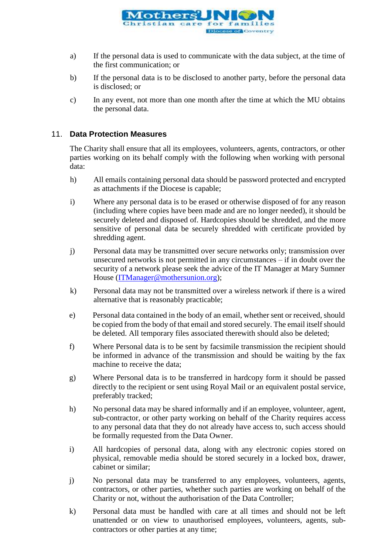

- a) If the personal data is used to communicate with the data subject, at the time of the first communication; or
- b) If the personal data is to be disclosed to another party, before the personal data is disclosed; or
- c) In any event, not more than one month after the time at which the MU obtains the personal data.

### 11. **Data Protection Measures**

The Charity shall ensure that all its employees, volunteers, agents, contractors, or other parties working on its behalf comply with the following when working with personal data:

- h) All emails containing personal data should be password protected and encrypted as attachments if the Diocese is capable;
- i) Where any personal data is to be erased or otherwise disposed of for any reason (including where copies have been made and are no longer needed), it should be securely deleted and disposed of. Hardcopies should be shredded, and the more sensitive of personal data be securely shredded with certificate provided by shredding agent.
- j) Personal data may be transmitted over secure networks only; transmission over unsecured networks is not permitted in any circumstances – if in doubt over the security of a network please seek the advice of the IT Manager at Mary Sumner House [\(ITManager@mothersunion.org\)](mailto:ITManager@mothersunion.org);
- k) Personal data may not be transmitted over a wireless network if there is a wired alternative that is reasonably practicable;
- e) Personal data contained in the body of an email, whether sent or received, should be copied from the body of that email and stored securely. The email itself should be deleted. All temporary files associated therewith should also be deleted;
- f) Where Personal data is to be sent by facsimile transmission the recipient should be informed in advance of the transmission and should be waiting by the fax machine to receive the data;
- g) Where Personal data is to be transferred in hardcopy form it should be passed directly to the recipient or sent using Royal Mail or an equivalent postal service, preferably tracked;
- h) No personal data may be shared informally and if an employee, volunteer, agent, sub-contractor, or other party working on behalf of the Charity requires access to any personal data that they do not already have access to, such access should be formally requested from the Data Owner.
- i) All hardcopies of personal data, along with any electronic copies stored on physical, removable media should be stored securely in a locked box, drawer, cabinet or similar;
- j) No personal data may be transferred to any employees, volunteers, agents, contractors, or other parties, whether such parties are working on behalf of the Charity or not, without the authorisation of the Data Controller;
- k) Personal data must be handled with care at all times and should not be left unattended or on view to unauthorised employees, volunteers, agents, subcontractors or other parties at any time;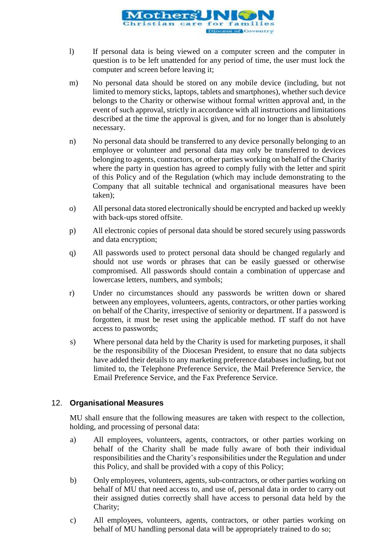

- l) If personal data is being viewed on a computer screen and the computer in question is to be left unattended for any period of time, the user must lock the computer and screen before leaving it;
- m) No personal data should be stored on any mobile device (including, but not limited to memory sticks, laptops, tablets and smartphones), whether such device belongs to the Charity or otherwise without formal written approval and, in the event of such approval, strictly in accordance with all instructions and limitations described at the time the approval is given, and for no longer than is absolutely necessary.
- n) No personal data should be transferred to any device personally belonging to an employee or volunteer and personal data may only be transferred to devices belonging to agents, contractors, or other parties working on behalf of the Charity where the party in question has agreed to comply fully with the letter and spirit of this Policy and of the Regulation (which may include demonstrating to the Company that all suitable technical and organisational measures have been taken);
- o) All personal data stored electronically should be encrypted and backed up weekly with back-ups stored offsite.
- p) All electronic copies of personal data should be stored securely using passwords and data encryption;
- q) All passwords used to protect personal data should be changed regularly and should not use words or phrases that can be easily guessed or otherwise compromised. All passwords should contain a combination of uppercase and lowercase letters, numbers, and symbols;
- r) Under no circumstances should any passwords be written down or shared between any employees, volunteers, agents, contractors, or other parties working on behalf of the Charity, irrespective of seniority or department. If a password is forgotten, it must be reset using the applicable method. IT staff do not have access to passwords;
- s) Where personal data held by the Charity is used for marketing purposes, it shall be the responsibility of the Diocesan President, to ensure that no data subjects have added their details to any marketing preference databases including, but not limited to, the Telephone Preference Service, the Mail Preference Service, the Email Preference Service, and the Fax Preference Service.

# 12. **Organisational Measures**

MU shall ensure that the following measures are taken with respect to the collection, holding, and processing of personal data:

- a) All employees, volunteers, agents, contractors, or other parties working on behalf of the Charity shall be made fully aware of both their individual responsibilities and the Charity's responsibilities under the Regulation and under this Policy, and shall be provided with a copy of this Policy;
- b) Only employees, volunteers, agents, sub-contractors, or other parties working on behalf of MU that need access to, and use of, personal data in order to carry out their assigned duties correctly shall have access to personal data held by the Charity;
- c) All employees, volunteers, agents, contractors, or other parties working on behalf of MU handling personal data will be appropriately trained to do so;